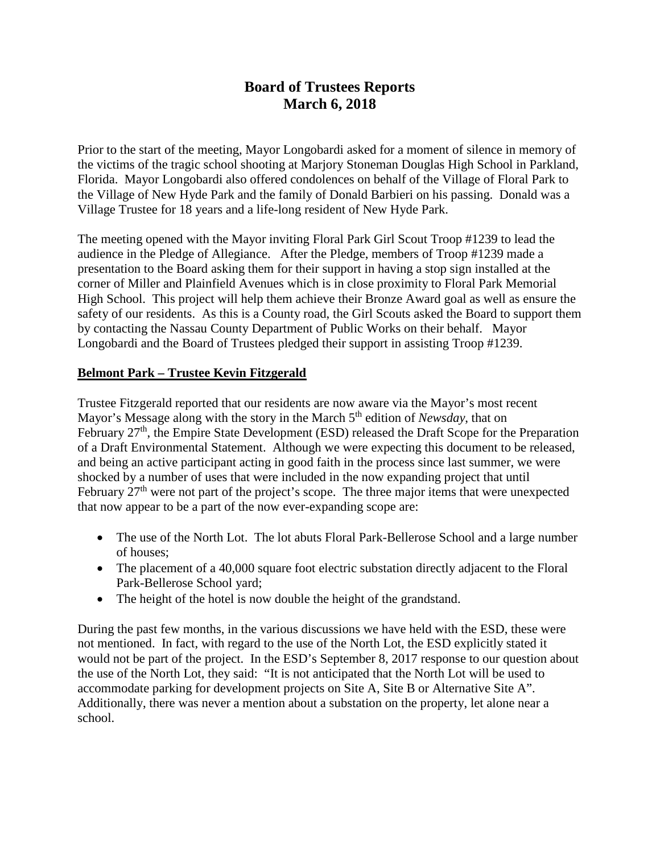# **Board of Trustees Reports March 6, 2018**

Prior to the start of the meeting, Mayor Longobardi asked for a moment of silence in memory of the victims of the tragic school shooting at Marjory Stoneman Douglas High School in Parkland, Florida. Mayor Longobardi also offered condolences on behalf of the Village of Floral Park to the Village of New Hyde Park and the family of Donald Barbieri on his passing. Donald was a Village Trustee for 18 years and a life-long resident of New Hyde Park.

The meeting opened with the Mayor inviting Floral Park Girl Scout Troop #1239 to lead the audience in the Pledge of Allegiance. After the Pledge, members of Troop #1239 made a presentation to the Board asking them for their support in having a stop sign installed at the corner of Miller and Plainfield Avenues which is in close proximity to Floral Park Memorial High School. This project will help them achieve their Bronze Award goal as well as ensure the safety of our residents. As this is a County road, the Girl Scouts asked the Board to support them by contacting the Nassau County Department of Public Works on their behalf. Mayor Longobardi and the Board of Trustees pledged their support in assisting Troop #1239.

## **Belmont Park – Trustee Kevin Fitzgerald**

Trustee Fitzgerald reported that our residents are now aware via the Mayor's most recent Mayor's Message along with the story in the March 5<sup>th</sup> edition of *Newsday*, that on February 27<sup>th</sup>, the Empire State Development (ESD) released the Draft Scope for the Preparation of a Draft Environmental Statement. Although we were expecting this document to be released, and being an active participant acting in good faith in the process since last summer, we were shocked by a number of uses that were included in the now expanding project that until February  $27<sup>th</sup>$  were not part of the project's scope. The three major items that were unexpected that now appear to be a part of the now ever-expanding scope are:

- The use of the North Lot. The lot abuts Floral Park-Bellerose School and a large number of houses;
- The placement of a 40,000 square foot electric substation directly adjacent to the Floral Park-Bellerose School yard;
- The height of the hotel is now double the height of the grandstand.

During the past few months, in the various discussions we have held with the ESD, these were not mentioned. In fact, with regard to the use of the North Lot, the ESD explicitly stated it would not be part of the project. In the ESD's September 8, 2017 response to our question about the use of the North Lot, they said: "It is not anticipated that the North Lot will be used to accommodate parking for development projects on Site A, Site B or Alternative Site A". Additionally, there was never a mention about a substation on the property, let alone near a school.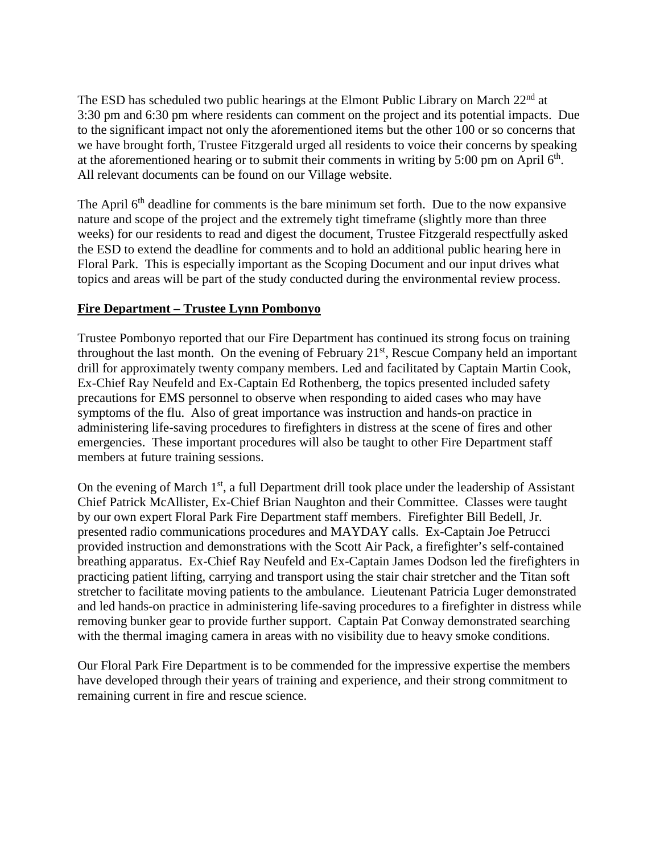The ESD has scheduled two public hearings at the Elmont Public Library on March 22<sup>nd</sup> at 3:30 pm and 6:30 pm where residents can comment on the project and its potential impacts. Due to the significant impact not only the aforementioned items but the other 100 or so concerns that we have brought forth, Trustee Fitzgerald urged all residents to voice their concerns by speaking at the aforementioned hearing or to submit their comments in writing by 5:00 pm on April  $6<sup>th</sup>$ . All relevant documents can be found on our Village website.

The April 6<sup>th</sup> deadline for comments is the bare minimum set forth. Due to the now expansive nature and scope of the project and the extremely tight timeframe (slightly more than three weeks) for our residents to read and digest the document, Trustee Fitzgerald respectfully asked the ESD to extend the deadline for comments and to hold an additional public hearing here in Floral Park. This is especially important as the Scoping Document and our input drives what topics and areas will be part of the study conducted during the environmental review process.

#### **Fire Department – Trustee Lynn Pombonyo**

Trustee Pombonyo reported that our Fire Department has continued its strong focus on training throughout the last month. On the evening of February 21<sup>st</sup>, Rescue Company held an important drill for approximately twenty company members. Led and facilitated by Captain Martin Cook, Ex-Chief Ray Neufeld and Ex-Captain Ed Rothenberg, the topics presented included safety precautions for EMS personnel to observe when responding to aided cases who may have symptoms of the flu. Also of great importance was instruction and hands-on practice in administering life-saving procedures to firefighters in distress at the scene of fires and other emergencies. These important procedures will also be taught to other Fire Department staff members at future training sessions.

On the evening of March 1<sup>st</sup>, a full Department drill took place under the leadership of Assistant Chief Patrick McAllister, Ex-Chief Brian Naughton and their Committee. Classes were taught by our own expert Floral Park Fire Department staff members. Firefighter Bill Bedell, Jr. presented radio communications procedures and MAYDAY calls. Ex-Captain Joe Petrucci provided instruction and demonstrations with the Scott Air Pack, a firefighter's self-contained breathing apparatus. Ex-Chief Ray Neufeld and Ex-Captain James Dodson led the firefighters in practicing patient lifting, carrying and transport using the stair chair stretcher and the Titan soft stretcher to facilitate moving patients to the ambulance. Lieutenant Patricia Luger demonstrated and led hands-on practice in administering life-saving procedures to a firefighter in distress while removing bunker gear to provide further support. Captain Pat Conway demonstrated searching with the thermal imaging camera in areas with no visibility due to heavy smoke conditions.

Our Floral Park Fire Department is to be commended for the impressive expertise the members have developed through their years of training and experience, and their strong commitment to remaining current in fire and rescue science.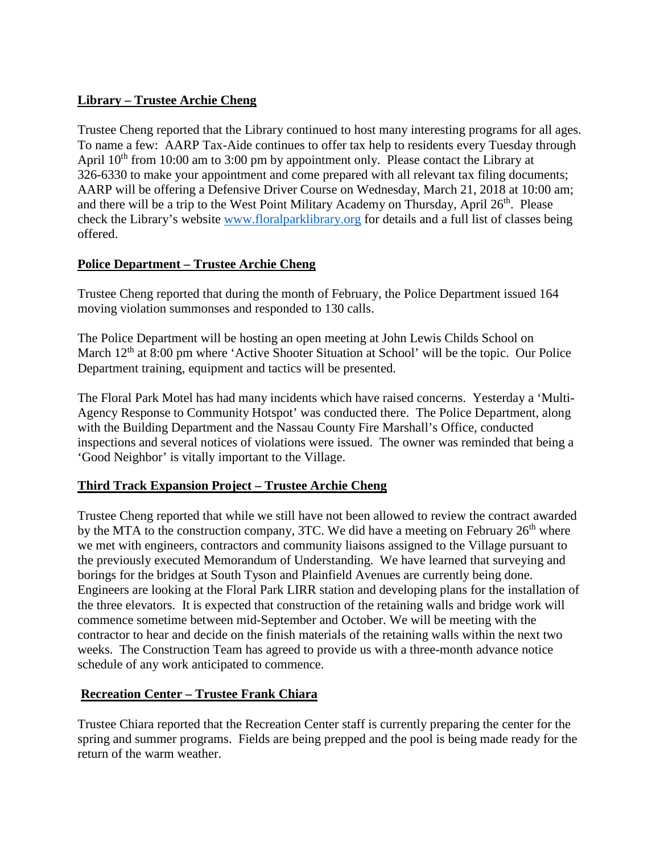## **Library – Trustee Archie Cheng**

Trustee Cheng reported that the Library continued to host many interesting programs for all ages. To name a few: AARP Tax-Aide continues to offer tax help to residents every Tuesday through April 10<sup>th</sup> from 10:00 am to 3:00 pm by appointment only. Please contact the Library at 326-6330 to make your appointment and come prepared with all relevant tax filing documents; AARP will be offering a Defensive Driver Course on Wednesday, March 21, 2018 at 10:00 am; and there will be a trip to the West Point Military Academy on Thursday, April  $26<sup>th</sup>$ . Please check the Library's website [www.floralparklibrary.org](http://www.floralparklibrary.org/) for details and a full list of classes being offered.

## **Police Department – Trustee Archie Cheng**

Trustee Cheng reported that during the month of February, the Police Department issued 164 moving violation summonses and responded to 130 calls.

The Police Department will be hosting an open meeting at John Lewis Childs School on March  $12<sup>th</sup>$  at  $8:00$  pm where 'Active Shooter Situation at School' will be the topic. Our Police Department training, equipment and tactics will be presented.

The Floral Park Motel has had many incidents which have raised concerns. Yesterday a 'Multi-Agency Response to Community Hotspot' was conducted there. The Police Department, along with the Building Department and the Nassau County Fire Marshall's Office, conducted inspections and several notices of violations were issued. The owner was reminded that being a 'Good Neighbor' is vitally important to the Village.

## **Third Track Expansion Project – Trustee Archie Cheng**

Trustee Cheng reported that while we still have not been allowed to review the contract awarded by the MTA to the construction company, 3TC. We did have a meeting on February  $26<sup>th</sup>$  where we met with engineers, contractors and community liaisons assigned to the Village pursuant to the previously executed Memorandum of Understanding. We have learned that surveying and borings for the bridges at South Tyson and Plainfield Avenues are currently being done. Engineers are looking at the Floral Park LIRR station and developing plans for the installation of the three elevators. It is expected that construction of the retaining walls and bridge work will commence sometime between mid-September and October. We will be meeting with the contractor to hear and decide on the finish materials of the retaining walls within the next two weeks. The Construction Team has agreed to provide us with a three-month advance notice schedule of any work anticipated to commence.

## **Recreation Center – Trustee Frank Chiara**

Trustee Chiara reported that the Recreation Center staff is currently preparing the center for the spring and summer programs. Fields are being prepped and the pool is being made ready for the return of the warm weather.